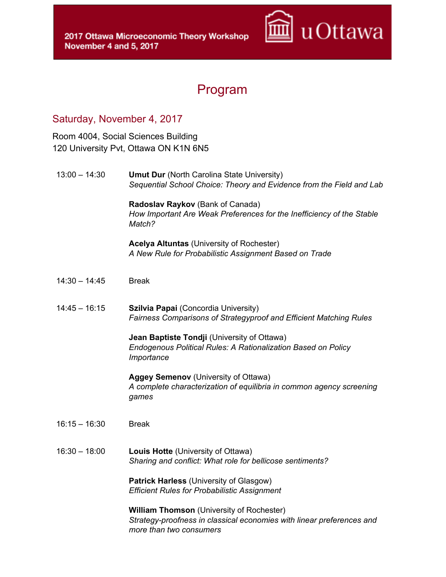

## Program

## Saturday, November 4, 2017

Room 4004, Social Sciences Building 120 University Pvt, Ottawa ON K1N 6N5

13:00 – 14:30 **Umut Dur** (North Carolina State University) *Sequential School Choice: Theory and Evidence from the Field and Lab*

> **Radoslav Raykov** (Bank of Canada) *How Important Are Weak Preferences for the Inefficiency of the Stable Match?*

**Acelya Altuntas** (University of Rochester) *A New Rule for Probabilistic Assignment Based on Trade*

- 14:30 14:45 Break
- 14:45 16:15 **Szilvia Papai** (Concordia University) *Fairness Comparisons of Strategyproof and Efficient Matching Rules*

**Jean Baptiste Tondji** (University of Ottawa) *Endogenous Political Rules: A Rationalization Based on Policy Importance*

**Aggey Semenov** (University of Ottawa) *A complete characterization of equilibria in common agency screening games*

- 16:15 16:30 Break
- 16:30 18:00 **Louis Hotte** (University of Ottawa) *Sharing and conflict: What role for bellicose sentiments?*

**Patrick Harless** (University of Glasgow) *Efficient Rules for Probabilistic Assignment*

**William Thomson** (University of Rochester) *Strategy-proofness in classical economies with linear preferences and more than two consumers*